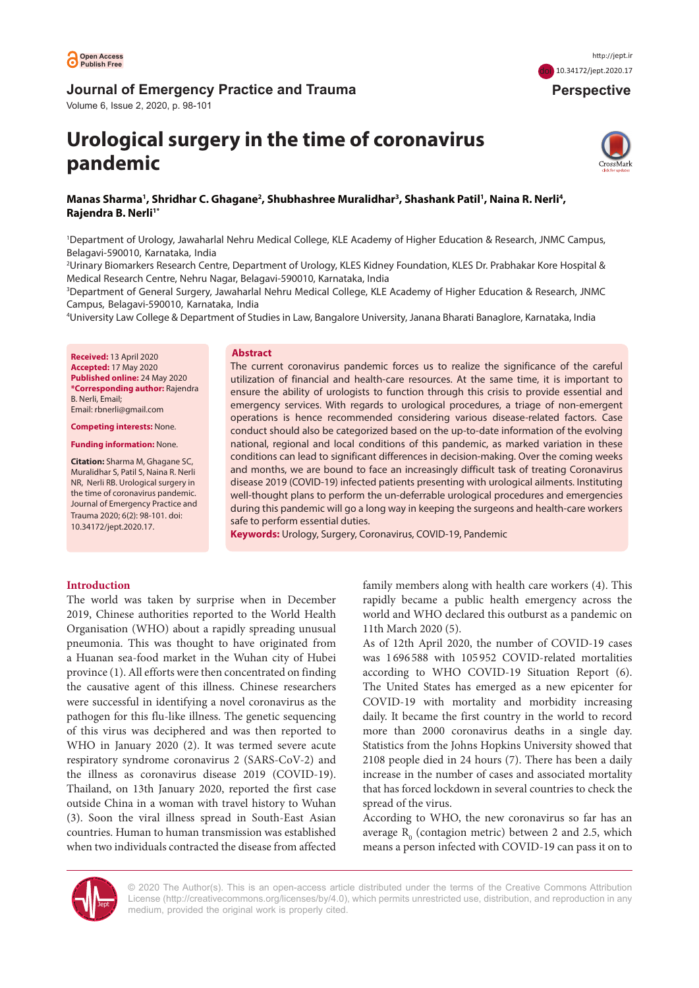

# **Journal of Emergency Practice and Trauma**

Volume 6, Issue 2, 2020, p. 98-101

# **Urological surgery in the time of coronavirus pandemic**



 **Perspective**

doi [10.34172/jept.2020.17](https://doi.org/10.34172/jept.2020.17)

# Manas Sharma', Shridhar C. Ghagane<sup>2</sup>, Shubhashree Muralidhar<sup>3</sup>, Shashank Patil', Naina R. Nerli<del>'</del>, **Rajendra B. Nerli1\***

1 Department of Urology, Jawaharlal Nehru Medical College, KLE Academy of Higher Education & Research, JNMC Campus, Belagavi-590010, Karnataka, India

2 Urinary Biomarkers Research Centre, Department of Urology, KLES Kidney Foundation, KLES Dr. Prabhakar Kore Hospital & Medical Research Centre, Nehru Nagar, Belagavi-590010, Karnataka, India

3 Department of General Surgery, Jawaharlal Nehru Medical College, KLE Academy of Higher Education & Research, JNMC Campus, Belagavi-590010, Karnataka, India

4 University Law College & Department of Studies in Law, Bangalore University, Janana Bharati Banaglore, Karnataka, India

**Received:** 13 April 2020 **Accepted:** 17 May 2020 **Published online:** 24 May 2020 **\*Corresponding author:** Rajendra B. Nerli, Email; Email: rbnerli@gmail.com

**Competing interests:** None.

**Funding information:** None.

**Citation:** Sharma M, Ghagane SC, Muralidhar S, Patil S, Naina R. Nerli NR, Nerli RB. Urological surgery in the time of coronavirus pandemic. Journal of Emergency Practice and Trauma 2020; 6(2): 98-101. doi: 10.34172/jept.2020.17.

## **Abstract**

The current coronavirus pandemic forces us to realize the significance of the careful utilization of financial and health-care resources. At the same time, it is important to ensure the ability of urologists to function through this crisis to provide essential and emergency services. With regards to urological procedures, a triage of non-emergent operations is hence recommended considering various disease-related factors. Case conduct should also be categorized based on the up-to-date information of the evolving national, regional and local conditions of this pandemic, as marked variation in these conditions can lead to significant differences in decision-making. Over the coming weeks and months, we are bound to face an increasingly difficult task of treating Coronavirus disease 2019 (COVID-19) infected patients presenting with urological ailments. Instituting well-thought plans to perform the un-deferrable urological procedures and emergencies during this pandemic will go a long way in keeping the surgeons and health-care workers safe to perform essential duties.

**Keywords:** Urology, Surgery, Coronavirus, COVID-19, Pandemic

## **Introduction**

The world was taken by surprise when in December 2019, Chinese authorities reported to the World Health Organisation (WHO) about a rapidly spreading unusual pneumonia. This was thought to have originated from a Huanan sea-food market in the Wuhan city of Hubei province (1). All efforts were then concentrated on finding the causative agent of this illness. Chinese researchers were successful in identifying a novel coronavirus as the pathogen for this flu-like illness. The genetic sequencing of this virus was deciphered and was then reported to WHO in January 2020 (2). It was termed severe acute respiratory syndrome coronavirus 2 (SARS-CoV-2) and the illness as coronavirus disease 2019 (COVID-19). Thailand, on 13th January 2020, reported the first case outside China in a woman with travel history to Wuhan (3). Soon the viral illness spread in South-East Asian countries. Human to human transmission was established when two individuals contracted the disease from affected

family members along with health care workers (4). This rapidly became a public health emergency across the world and WHO declared this outburst as a pandemic on 11th March 2020 (5).

As of 12th April 2020, the number of COVID-19 cases was 1 696 588 with 105 952 COVID-related mortalities according to WHO COVID-19 Situation Report (6). The United States has emerged as a new epicenter for COVID-19 with mortality and morbidity increasing daily. It became the first country in the world to record more than 2000 coronavirus deaths in a single day. Statistics from the Johns Hopkins University showed that 2108 people died in 24 hours (7). There has been a daily increase in the number of cases and associated mortality that has forced lockdown in several countries to check the spread of the virus.

According to WHO, the new coronavirus so far has an average  $R_0$  (contagion metric) between 2 and 2.5, which means a person infected with COVID-19 can pass it on to



© 2020 The Author(s). This is an open-access article distributed under the terms of the Creative Commons Attribution License [\(http://creativecommons.org/licenses/by/4.0](http://creativecommons.org/licenses/by/4.0)), which permits unrestricted use, distribution, and reproduction in any medium, provided the original work is properly cited.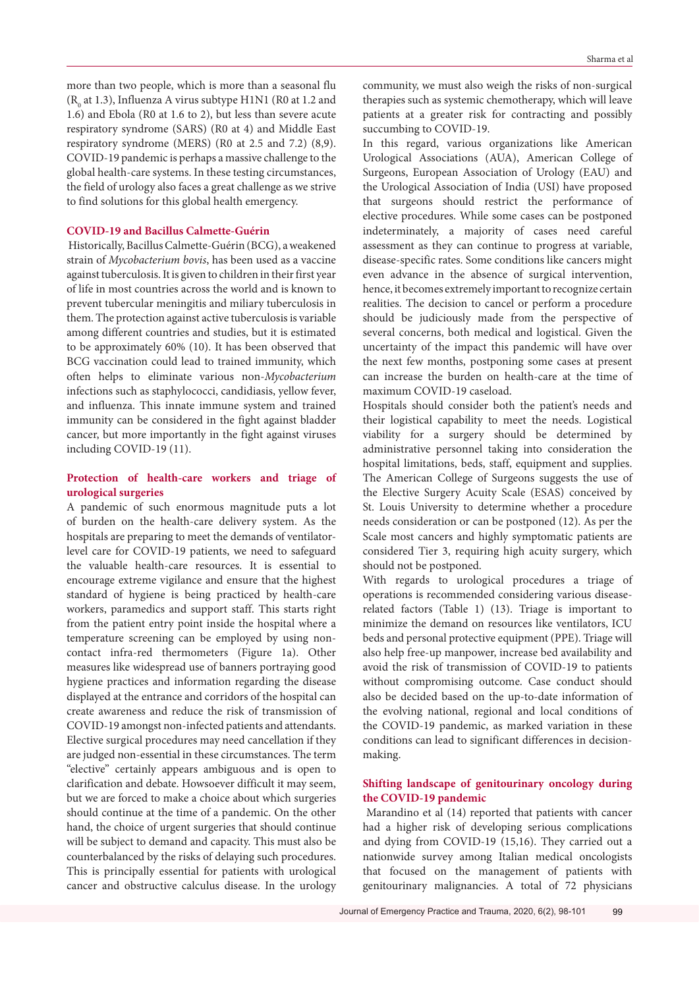more than two people, which is more than a seasonal flu  $(R_{0}$  at 1.3), Influenza A virus subtype H1N1 (R0 at 1.2 and 1.6) and Ebola (R0 at 1.6 to 2), but less than severe acute respiratory syndrome (SARS) (R0 at 4) and Middle East respiratory syndrome (MERS) (R0 at 2.5 and 7.2) (8,9). COVID-19 pandemic is perhaps a massive challenge to the global health-care systems. In these testing circumstances, the field of urology also faces a great challenge as we strive to find solutions for this global health emergency.

## **COVID-19 and Bacillus Calmette-Guérin**

 Historically, Bacillus Calmette-Guérin (BCG), a weakened strain of *Mycobacterium bovis*, has been used as a vaccine against tuberculosis. It is given to children in their first year of life in most countries across the world and is known to prevent tubercular meningitis and miliary tuberculosis in them. The protection against active tuberculosis is variable among different countries and studies, but it is estimated to be approximately 60% (10). It has been observed that BCG vaccination could lead to trained immunity, which often helps to eliminate various non-*Mycobacterium* infections such as staphylococci, candidiasis, yellow fever, and influenza. This innate immune system and trained immunity can be considered in the fight against bladder cancer, but more importantly in the fight against viruses including COVID-19 (11).

## **Protection of health-care workers and triage of urological surgeries**

A pandemic of such enormous magnitude puts a lot of burden on the health-care delivery system. As the hospitals are preparing to meet the demands of ventilatorlevel care for COVID-19 patients, we need to safeguard the valuable health-care resources. It is essential to encourage extreme vigilance and ensure that the highest standard of hygiene is being practiced by health-care workers, paramedics and support staff. This starts right from the patient entry point inside the hospital where a temperature screening can be employed by using noncontact infra-red thermometers (Figure 1a). Other measures like widespread use of banners portraying good hygiene practices and information regarding the disease displayed at the entrance and corridors of the hospital can create awareness and reduce the risk of transmission of COVID-19 amongst non-infected patients and attendants. Elective surgical procedures may need cancellation if they are judged non-essential in these circumstances. The term "elective" certainly appears ambiguous and is open to clarification and debate. Howsoever difficult it may seem, but we are forced to make a choice about which surgeries should continue at the time of a pandemic. On the other hand, the choice of urgent surgeries that should continue will be subject to demand and capacity. This must also be counterbalanced by the risks of delaying such procedures. This is principally essential for patients with urological cancer and obstructive calculus disease. In the urology

community, we must also weigh the risks of non-surgical therapies such as systemic chemotherapy, which will leave patients at a greater risk for contracting and possibly succumbing to COVID-19.

In this regard, various organizations like American Urological Associations (AUA), American College of Surgeons, European Association of Urology (EAU) and the Urological Association of India (USI) have proposed that surgeons should restrict the performance of elective procedures. While some cases can be postponed indeterminately, a majority of cases need careful assessment as they can continue to progress at variable, disease-specific rates. Some conditions like cancers might even advance in the absence of surgical intervention, hence, it becomes extremely important to recognize certain realities. The decision to cancel or perform a procedure should be judiciously made from the perspective of several concerns, both medical and logistical. Given the uncertainty of the impact this pandemic will have over the next few months, postponing some cases at present can increase the burden on health-care at the time of maximum COVID-19 caseload.

Hospitals should consider both the patient's needs and their logistical capability to meet the needs. Logistical viability for a surgery should be determined by administrative personnel taking into consideration the hospital limitations, beds, staff, equipment and supplies. The American College of Surgeons suggests the use of the Elective Surgery Acuity Scale (ESAS) conceived by St. Louis University to determine whether a procedure needs consideration or can be postponed (12). As per the Scale most cancers and highly symptomatic patients are considered Tier 3, requiring high acuity surgery, which should not be postponed.

With regards to urological procedures a triage of operations is recommended considering various diseaserelated factors (Table 1) (13). Triage is important to minimize the demand on resources like ventilators, ICU beds and personal protective equipment (PPE). Triage will also help free-up manpower, increase bed availability and avoid the risk of transmission of COVID-19 to patients without compromising outcome. Case conduct should also be decided based on the up-to-date information of the evolving national, regional and local conditions of the COVID-19 pandemic, as marked variation in these conditions can lead to significant differences in decisionmaking.

## **Shifting landscape of genitourinary oncology during the COVID-19 pandemic**

 Marandino et al (14) reported that patients with cancer had a higher risk of developing serious complications and dying from COVID-19 (15,16). They carried out a nationwide survey among Italian medical oncologists that focused on the management of patients with genitourinary malignancies. A total of 72 physicians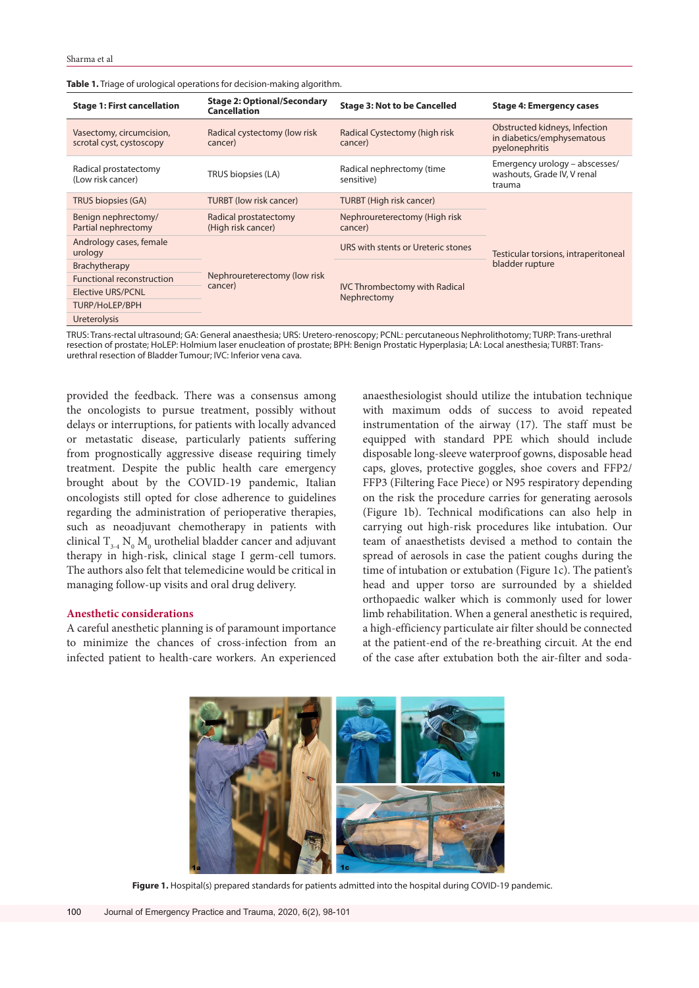| <b>Stage 1: First cancellation</b>                   | <b>Stage 2: Optional/Secondary</b><br><b>Cancellation</b> | <b>Stage 3: Not to be Cancelled</b>                 | <b>Stage 4: Emergency cases</b>                                               |
|------------------------------------------------------|-----------------------------------------------------------|-----------------------------------------------------|-------------------------------------------------------------------------------|
| Vasectomy, circumcision,<br>scrotal cyst, cystoscopy | Radical cystectomy (low risk<br>cancer)                   | Radical Cystectomy (high risk<br>cancer)            | Obstructed kidneys, Infection<br>in diabetics/emphysematous<br>pyelonephritis |
| Radical prostatectomy<br>(Low risk cancer)           | TRUS biopsies (LA)                                        | Radical nephrectomy (time<br>sensitive)             | Emergency urology - abscesses/<br>washouts, Grade IV, V renal<br>trauma       |
| TRUS biopsies (GA)                                   | <b>TURBT (low risk cancer)</b>                            | <b>TURBT</b> (High risk cancer)                     | Testicular torsions, intraperitoneal<br>bladder rupture                       |
| Benign nephrectomy/<br>Partial nephrectomy           | Radical prostatectomy<br>(High risk cancer)               | Nephroureterectomy (High risk<br>cancer)            |                                                                               |
| Andrology cases, female<br>urology                   | Nephroureterectomy (low risk<br>cancer)                   | URS with stents or Ureteric stones                  |                                                                               |
| Brachytherapy                                        |                                                           | <b>IVC Thrombectomy with Radical</b><br>Nephrectomy |                                                                               |
| <b>Functional reconstruction</b>                     |                                                           |                                                     |                                                                               |
| <b>Elective URS/PCNL</b>                             |                                                           |                                                     |                                                                               |
| TURP/HoLEP/BPH                                       |                                                           |                                                     |                                                                               |
| <b>Ureterolysis</b>                                  |                                                           |                                                     |                                                                               |

**Table 1.** Triage of urological operations for decision-making algorithm.

TRUS: Trans-rectal ultrasound; GA: General anaesthesia; URS: Uretero-renoscopy; PCNL: percutaneous Nephrolithotomy; TURP: Trans-urethral resection of prostate; HoLEP: Holmium laser enucleation of prostate; BPH: Benign Prostatic Hyperplasia; LA: Local anesthesia; TURBT: Transurethral resection of Bladder Tumour; IVC: Inferior vena cava.

provided the feedback. There was a consensus among the oncologists to pursue treatment, possibly without delays or interruptions, for patients with locally advanced or metastatic disease, particularly patients suffering from prognostically aggressive disease requiring timely treatment. Despite the public health care emergency brought about by the COVID-19 pandemic, Italian oncologists still opted for close adherence to guidelines regarding the administration of perioperative therapies, such as neoadjuvant chemotherapy in patients with clinical  $\text{T}_{\scriptscriptstyle{3\text{-}4}}\, \text{N}_{\scriptscriptstyle{0}}\, \text{M}_{\scriptscriptstyle{0}}$  urothelial bladder cancer and adjuvant therapy in high-risk, clinical stage I germ-cell tumors. The authors also felt that telemedicine would be critical in managing follow-up visits and oral drug delivery.

## **Anesthetic considerations**

A careful anesthetic planning is of paramount importance to minimize the chances of cross-infection from an infected patient to health-care workers. An experienced

anaesthesiologist should utilize the intubation technique with maximum odds of success to avoid repeated instrumentation of the airway (17). The staff must be equipped with standard PPE which should include disposable long-sleeve waterproof gowns, disposable head caps, gloves, protective goggles, shoe covers and FFP2/ FFP3 (Filtering Face Piece) or N95 respiratory depending on the risk the procedure carries for generating aerosols (Figure 1b). Technical modifications can also help in carrying out high-risk procedures like intubation. Our team of anaesthetists devised a method to contain the spread of aerosols in case the patient coughs during the time of intubation or extubation (Figure 1c). The patient's head and upper torso are surrounded by a shielded orthopaedic walker which is commonly used for lower limb rehabilitation. When a general anesthetic is required, a high-efficiency particulate air filter should be connected at the patient-end of the re-breathing circuit. At the end of the case after extubation both the air-filter and soda-



**Figure 1.** Hospital(s) prepared standards for patients admitted into the hospital during COVID-19 pandemic.